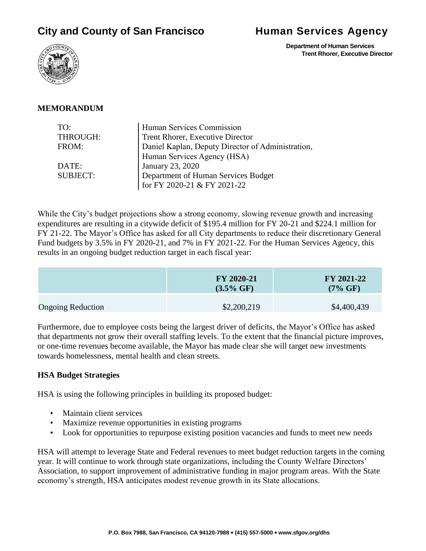# **City and County of San Francisco Human Services Agency**

 **Department of Human Services Trent Rhorer, Executive Director**



#### **MEMORANDUM**

| TO:             | Human Services Commission                         |  |
|-----------------|---------------------------------------------------|--|
| THROUGH:        | Trent Rhorer, Executive Director                  |  |
| FROM:           | Daniel Kaplan, Deputy Director of Administration, |  |
|                 | Human Services Agency (HSA)                       |  |
| DATE:           | January 23, 2020                                  |  |
| <b>SUBJECT:</b> | Department of Human Services Budget               |  |
|                 | for FY 2020-21 & FY 2021-22                       |  |

While the City's budget projections show a strong economy, slowing revenue growth and increasing expenditures are resulting in a citywide deficit of \$195.4 million for FY 20-21 and \$224.1 million for FY 21-22. The Mayor's Office has asked for all City departments to reduce their discretionary General Fund budgets by 3.5% in FY 2020-21, and 7% in FY 2021-22. For the Human Services Agency, this results in an ongoing budget reduction target in each fiscal year:

|                          | FY 2020-21<br>$(3.5\% \text{ GF})$ | FY 2021-22<br>$(7\% \text{ GF})$ |
|--------------------------|------------------------------------|----------------------------------|
| <b>Ongoing Reduction</b> | \$2,200,219                        | \$4,400,439                      |

Furthermore, due to employee costs being the largest driver of deficits, the Mayor's Office has asked that departments not grow their overall staffing levels. To the extent that the financial picture improves, or one-time revenues become available, the Mayor has made clear she will target new investments towards homelessness, mental health and clean streets.

#### **HSA Budget Strategies**

HSA is using the following principles in building its proposed budget:

- Maintain client services
- Maximize revenue opportunities in existing programs
- Look for opportunities to repurpose existing position vacancies and funds to meet new needs

HSA will attempt to leverage State and Federal revenues to meet budget reduction targets in the coming year. It will continue to work through state organizations, including the County Welfare Directors' Association, to support improvement of administrative funding in major program areas. With the State economy's strength, HSA anticipates modest revenue growth in its State allocations.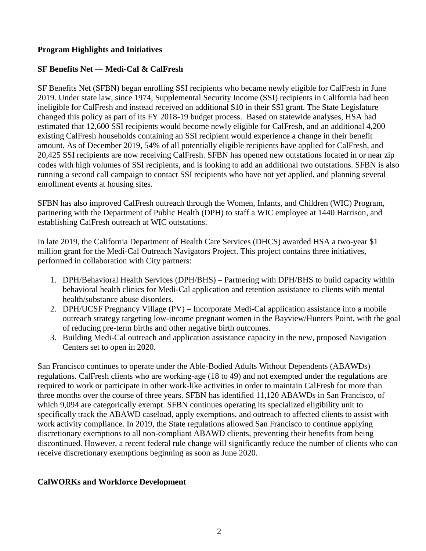# **Program Highlights and Initiatives**

# **SF Benefits Net — Medi-Cal & CalFresh**

SF Benefits Net (SFBN) began enrolling SSI recipients who became newly eligible for CalFresh in June 2019. Under state law, since 1974, Supplemental Security Income (SSI) recipients in California had been ineligible for CalFresh and instead received an additional \$10 in their SSI grant. The State Legislature changed this policy as part of its FY 2018-19 budget process. Based on statewide analyses, HSA had estimated that 12,600 SSI recipients would become newly eligible for CalFresh, and an additional 4,200 existing CalFresh households containing an SSI recipient would experience a change in their benefit amount. As of December 2019, 54% of all potentially eligible recipients have applied for CalFresh, and 20,425 SSI recipients are now receiving CalFresh. SFBN has opened new outstations located in or near zip codes with high volumes of SSI recipients, and is looking to add an additional two outstations. SFBN is also running a second call campaign to contact SSI recipients who have not yet applied, and planning several enrollment events at housing sites.

SFBN has also improved CalFresh outreach through the Women, Infants, and Children (WIC) Program, partnering with the Department of Public Health (DPH) to staff a WIC employee at 1440 Harrison, and establishing CalFresh outreach at WIC outstations.

In late 2019, the California Department of Health Care Services (DHCS) awarded HSA a two-year \$1 million grant for the Medi-Cal Outreach Navigators Project. This project contains three initiatives, performed in collaboration with City partners:

- 1. DPH/Behavioral Health Services (DPH/BHS) Partnering with DPH/BHS to build capacity within behavioral health clinics for Medi-Cal application and retention assistance to clients with mental health/substance abuse disorders.
- 2. DPH/UCSF Pregnancy Village (PV) Incorporate Medi-Cal application assistance into a mobile outreach strategy targeting low-income pregnant women in the Bayview/Hunters Point, with the goal of reducing pre-term births and other negative birth outcomes.
- 3. Building Medi-Cal outreach and application assistance capacity in the new, proposed Navigation Centers set to open in 2020.

San Francisco continues to operate under the Able-Bodied Adults Without Dependents (ABAWDs) regulations. CalFresh clients who are working-age (18 to 49) and not exempted under the regulations are required to work or participate in other work-like activities in order to maintain CalFresh for more than three months over the course of three years. SFBN has identified 11,120 ABAWDs in San Francisco, of which 9,094 are categorically exempt. SFBN continues operating its specialized eligibility unit to specifically track the ABAWD caseload, apply exemptions, and outreach to affected clients to assist with work activity compliance. In 2019, the State regulations allowed San Francisco to continue applying discretionary exemptions to all non-compliant ABAWD clients, preventing their benefits from being discontinued. However, a recent federal rule change will significantly reduce the number of clients who can receive discretionary exemptions beginning as soon as June 2020.

# **CalWORKs and Workforce Development**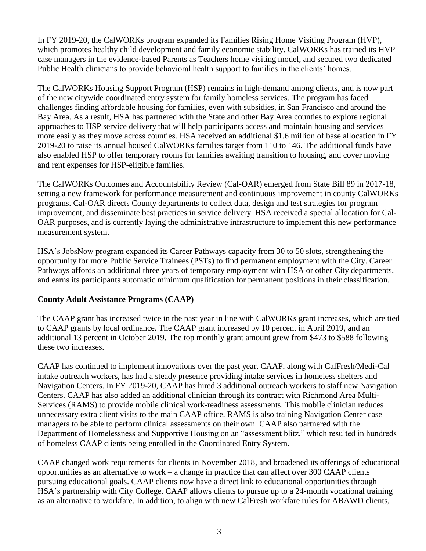In FY 2019-20, the CalWORKs program expanded its Families Rising Home Visiting Program (HVP), which promotes healthy child development and family economic stability. CalWORKs has trained its HVP case managers in the evidence-based Parents as Teachers home visiting model, and secured two dedicated Public Health clinicians to provide behavioral health support to families in the clients' homes.

The CalWORKs Housing Support Program (HSP) remains in high-demand among clients, and is now part of the new citywide coordinated entry system for family homeless services. The program has faced challenges finding affordable housing for families, even with subsidies, in San Francisco and around the Bay Area. As a result, HSA has partnered with the State and other Bay Area counties to explore regional approaches to HSP service delivery that will help participants access and maintain housing and services more easily as they move across counties. HSA received an additional \$1.6 million of base allocation in FY 2019-20 to raise its annual housed CalWORKs families target from 110 to 146. The additional funds have also enabled HSP to offer temporary rooms for families awaiting transition to housing, and cover moving and rent expenses for HSP-eligible families.

The CalWORKs Outcomes and Accountability Review (Cal-OAR) emerged from State Bill 89 in 2017-18, setting a new framework for performance measurement and continuous improvement in county CalWORKs programs. Cal-OAR directs County departments to collect data, design and test strategies for program improvement, and disseminate best practices in service delivery. HSA received a special allocation for Cal-OAR purposes, and is currently laying the administrative infrastructure to implement this new performance measurement system.

HSA's JobsNow program expanded its Career Pathways capacity from 30 to 50 slots, strengthening the opportunity for more Public Service Trainees (PSTs) to find permanent employment with the City. Career Pathways affords an additional three years of temporary employment with HSA or other City departments, and earns its participants automatic minimum qualification for permanent positions in their classification.

# **County Adult Assistance Programs (CAAP)**

The CAAP grant has increased twice in the past year in line with CalWORKs grant increases, which are tied to CAAP grants by local ordinance. The CAAP grant increased by 10 percent in April 2019, and an additional 13 percent in October 2019. The top monthly grant amount grew from \$473 to \$588 following these two increases.

CAAP has continued to implement innovations over the past year. CAAP, along with CalFresh/Medi-Cal intake outreach workers, has had a steady presence providing intake services in homeless shelters and Navigation Centers. In FY 2019-20, CAAP has hired 3 additional outreach workers to staff new Navigation Centers. CAAP has also added an additional clinician through its contract with Richmond Area Multi-Services (RAMS) to provide mobile clinical work-readiness assessments. This mobile clinician reduces unnecessary extra client visits to the main CAAP office. RAMS is also training Navigation Center case managers to be able to perform clinical assessments on their own. CAAP also partnered with the Department of Homelessness and Supportive Housing on an "assessment blitz," which resulted in hundreds of homeless CAAP clients being enrolled in the Coordinated Entry System.

CAAP changed work requirements for clients in November 2018, and broadened its offerings of educational opportunities as an alternative to work – a change in practice that can affect over 300 CAAP clients pursuing educational goals. CAAP clients now have a direct link to educational opportunities through HSA's partnership with City College. CAAP allows clients to pursue up to a 24-month vocational training as an alternative to workfare. In addition, to align with new CalFresh workfare rules for ABAWD clients,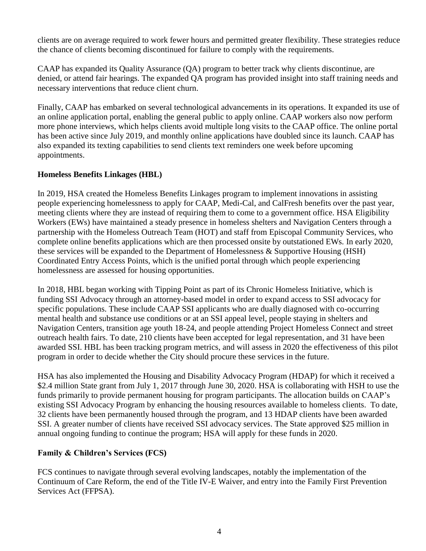clients are on average required to work fewer hours and permitted greater flexibility. These strategies reduce the chance of clients becoming discontinued for failure to comply with the requirements.

CAAP has expanded its Quality Assurance (QA) program to better track why clients discontinue, are denied, or attend fair hearings. The expanded QA program has provided insight into staff training needs and necessary interventions that reduce client churn.

Finally, CAAP has embarked on several technological advancements in its operations. It expanded its use of an online application portal, enabling the general public to apply online. CAAP workers also now perform more phone interviews, which helps clients avoid multiple long visits to the CAAP office. The online portal has been active since July 2019, and monthly online applications have doubled since its launch. CAAP has also expanded its texting capabilities to send clients text reminders one week before upcoming appointments.

# **Homeless Benefits Linkages (HBL)**

In 2019, HSA created the Homeless Benefits Linkages program to implement innovations in assisting people experiencing homelessness to apply for CAAP, Medi-Cal, and CalFresh benefits over the past year, meeting clients where they are instead of requiring them to come to a government office. HSA Eligibility Workers (EWs) have maintained a steady presence in homeless shelters and Navigation Centers through a partnership with the Homeless Outreach Team (HOT) and staff from Episcopal Community Services, who complete online benefits applications which are then processed onsite by outstationed EWs. In early 2020, these services will be expanded to the Department of Homelessness & Supportive Housing (HSH) Coordinated Entry Access Points, which is the unified portal through which people experiencing homelessness are assessed for housing opportunities.

In 2018, HBL began working with Tipping Point as part of its Chronic Homeless Initiative, which is funding SSI Advocacy through an attorney-based model in order to expand access to SSI advocacy for specific populations. These include CAAP SSI applicants who are dually diagnosed with co-occurring mental health and substance use conditions or at an SSI appeal level, people staying in shelters and Navigation Centers, transition age youth 18-24, and people attending Project Homeless Connect and street outreach health fairs. To date, 210 clients have been accepted for legal representation, and 31 have been awarded SSI. HBL has been tracking program metrics, and will assess in 2020 the effectiveness of this pilot program in order to decide whether the City should procure these services in the future.

HSA has also implemented the Housing and Disability Advocacy Program (HDAP) for which it received a \$2.4 million State grant from July 1, 2017 through June 30, 2020. HSA is collaborating with HSH to use the funds primarily to provide permanent housing for program participants. The allocation builds on CAAP's existing SSI Advocacy Program by enhancing the housing resources available to homeless clients. To date, 32 clients have been permanently housed through the program, and 13 HDAP clients have been awarded SSI. A greater number of clients have received SSI advocacy services. The State approved \$25 million in annual ongoing funding to continue the program; HSA will apply for these funds in 2020.

# **Family & Children's Services (FCS)**

FCS continues to navigate through several evolving landscapes, notably the implementation of the Continuum of Care Reform, the end of the Title IV-E Waiver, and entry into the Family First Prevention Services Act (FFPSA).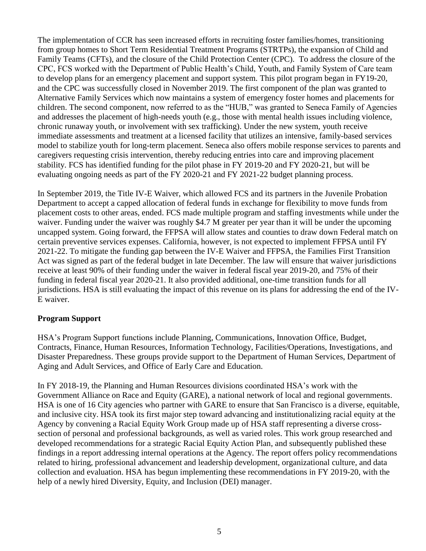The implementation of CCR has seen increased efforts in recruiting foster families/homes, transitioning from group homes to Short Term Residential Treatment Programs (STRTPs), the expansion of Child and Family Teams (CFTs), and the closure of the Child Protection Center (CPC). To address the closure of the CPC, FCS worked with the Department of Public Health's Child, Youth, and Family System of Care team to develop plans for an emergency placement and support system. This pilot program began in FY19-20, and the CPC was successfully closed in November 2019. The first component of the plan was granted to Alternative Family Services which now maintains a system of emergency foster homes and placements for children. The second component, now referred to as the "HUB," was granted to Seneca Family of Agencies and addresses the placement of high-needs youth (e.g., those with mental health issues including violence, chronic runaway youth, or involvement with sex trafficking). Under the new system, youth receive immediate assessments and treatment at a licensed facility that utilizes an intensive, family-based services model to stabilize youth for long-term placement. Seneca also offers mobile response services to parents and caregivers requesting crisis intervention, thereby reducing entries into care and improving placement stability. FCS has identified funding for the pilot phase in FY 2019-20 and FY 2020-21, but will be evaluating ongoing needs as part of the FY 2020-21 and FY 2021-22 budget planning process.

In September 2019, the Title IV-E Waiver, which allowed FCS and its partners in the Juvenile Probation Department to accept a capped allocation of federal funds in exchange for flexibility to move funds from placement costs to other areas, ended. FCS made multiple program and staffing investments while under the waiver. Funding under the waiver was roughly \$4.7 M greater per year than it will be under the upcoming uncapped system. Going forward, the FFPSA will allow states and counties to draw down Federal match on certain preventive services expenses. California, however, is not expected to implement FFPSA until FY 2021-22. To mitigate the funding gap between the IV-E Waiver and FFPSA, the Families First Transition Act was signed as part of the federal budget in late December. The law will ensure that waiver jurisdictions receive at least 90% of their funding under the waiver in federal fiscal year 2019-20, and 75% of their funding in federal fiscal year 2020-21. It also provided additional, one-time transition funds for all jurisdictions. HSA is still evaluating the impact of this revenue on its plans for addressing the end of the IV-E waiver.

# **Program Support**

HSA's Program Support functions include Planning, Communications, Innovation Office, Budget, Contracts, Finance, Human Resources, Information Technology, Facilities/Operations, Investigations, and Disaster Preparedness. These groups provide support to the Department of Human Services, Department of Aging and Adult Services, and Office of Early Care and Education.

In FY 2018-19, the Planning and Human Resources divisions coordinated HSA's work with the Government Alliance on Race and Equity (GARE), a national network of local and regional governments. HSA is one of 16 City agencies who partner with GARE to ensure that San Francisco is a diverse, equitable, and inclusive city. HSA took its first major step toward advancing and institutionalizing racial equity at the Agency by convening a Racial Equity Work Group made up of HSA staff representing a diverse crosssection of personal and professional backgrounds, as well as varied roles. This work group researched and developed recommendations for a strategic Racial Equity Action Plan, and subsequently published these findings in a report addressing internal operations at the Agency. The report offers policy recommendations related to hiring, professional advancement and leadership development, organizational culture, and data collection and evaluation. HSA has begun implementing these recommendations in FY 2019-20, with the help of a newly hired Diversity, Equity, and Inclusion (DEI) manager.